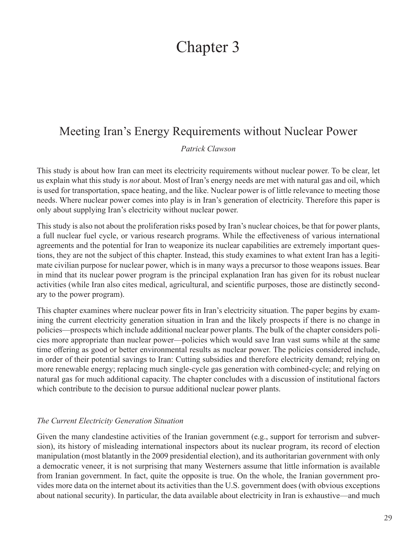# Chapter 3

# Meeting Iran's Energy Requirements without Nuclear Power

*Patrick Clawson*

This study is about how Iran can meet its electricity requirements without nuclear power. To be clear, let us explain what this study is *not* about. Most of Iran's energy needs are met with natural gas and oil, which is used for transportation, space heating, and the like. Nuclear power is of little relevance to meeting those needs. Where nuclear power comes into play is in Iran's generation of electricity. Therefore this paper is only about supplying Iran's electricity without nuclear power.

This study is also not about the proliferation risks posed by Iran's nuclear choices, be that for power plants, a full nuclear fuel cycle, or various research programs. While the effectiveness of various international agreements and the potential for Iran to weaponize its nuclear capabilities are extremely important questions, they are not the subject of this chapter. Instead, this study examines to what extent Iran has a legitimate civilian purpose for nuclear power, which is in many ways a precursor to those weapons issues. Bear in mind that its nuclear power program is the principal explanation Iran has given for its robust nuclear activities (while Iran also cites medical, agricultural, and scientific purposes, those are distinctly secondary to the power program).

This chapter examines where nuclear power fits in Iran's electricity situation. The paper begins by examining the current electricity generation situation in Iran and the likely prospects if there is no change in policies—prospects which include additional nuclear power plants. The bulk of the chapter considers policies more appropriate than nuclear power—policies which would save Iran vast sums while at the same time offering as good or better environmental results as nuclear power. The policies considered include, in order of their potential savings to Iran: Cutting subsidies and therefore electricity demand; relying on more renewable energy; replacing much single-cycle gas generation with combined-cycle; and relying on natural gas for much additional capacity. The chapter concludes with a discussion of institutional factors which contribute to the decision to pursue additional nuclear power plants.

#### *The Current Electricity Generation Situation*

Given the many clandestine activities of the Iranian government (e.g., support for terrorism and subversion), its history of misleading international inspectors about its nuclear program, its record of election manipulation (most blatantly in the 2009 presidential election), and its authoritarian government with only a democratic veneer, it is not surprising that many Westerners assume that little information is available from Iranian government. In fact, quite the opposite is true. On the whole, the Iranian government provides more data on the internet about its activities than the U.S. government does (with obvious exceptions about national security). In particular, the data available about electricity in Iran is exhaustive—and much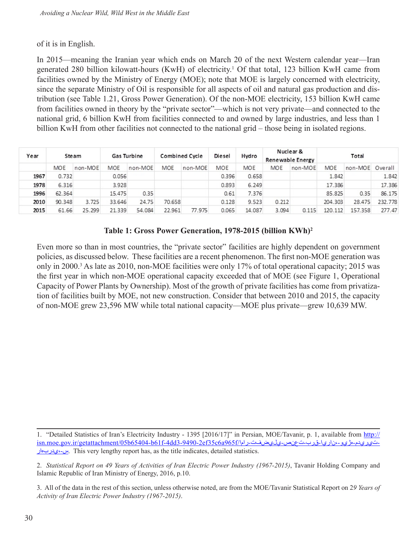#### of it is in English.

In 2015—meaning the Iranian year which ends on March 20 of the next Western calendar year—Iran generated 280 billion kilowatt-hours (KwH) of electricity.<sup>1</sup> Of that total, 123 billion KwH came from facilities owned by the Ministry of Energy (MOE); note that MOE is largely concerned with electricity, since the separate Ministry of Oil is responsible for all aspects of oil and natural gas production and distribution (see Table 1.21, Gross Power Generation). Of the non-MOE electricity, 153 billion KwH came from facilities owned in theory by the "private sector"—which is not very private—and connected to the national grid, 6 billion KwH from facilities connected to and owned by large industries, and less than 1 billion KwH from other facilities not connected to the national grid – those being in isolated regions.

| Year | Steam      |         | Gas Turbine |         | <b>Combined Cycle</b> |         | Diesel | Hydro  | Nuclear &<br>Renewable Energy |         | Total   |         |         |
|------|------------|---------|-------------|---------|-----------------------|---------|--------|--------|-------------------------------|---------|---------|---------|---------|
|      | <b>MOE</b> | non-MOE | <b>MOE</b>  | non-MOE | MOE.                  | non-MOE | MOE    | MOE    | MOE                           | non-MOE | MOE     | non-MOE | Overall |
| 1967 | 0.732      |         | 0.056       |         |                       |         | 0.396  | 0.658  |                               |         | 1.842   |         | 1.842   |
| 1978 | 6.316      |         | 3.928       |         |                       |         | 0.893  | 6.249  |                               |         | 17.386  |         | 17.386  |
| 1996 | 62.364     |         | 15.475      | 0.35    |                       |         | 0.61   | 7.376  |                               |         | 85.825  | 0.35    | 86.175  |
| 2010 | 90.348     | 3.725   | 33,646      | 24.75   | 70,658                |         | 0.128  | 9.523  | 0.212                         |         | 204.303 | 28.475  | 232.778 |
| 2015 | 61.66      | 25.299  | 21.339      | 54.084  | 22.961                | 77.975  | 0.065  | 14.087 | 3.094                         | 0.115   | 120.112 | 157.358 | 277.47  |

#### **Table 1: Gross Power Generation, 1978-2015 (billion KWh)2**

Even more so than in most countries, the "private sector" facilities are highly dependent on government policies, as discussed below. These facilities are a recent phenomenon. The first non-MOE generation was only in 2000.<sup>3</sup> As late as 2010, non-MOE facilities were only 17% of total operational capacity; 2015 was the first year in which non-MOE operational capacity exceeded that of MOE (see Figure 1, Operational Capacity of Power Plants by Ownership). Most of the growth of private facilities has come from privatization of facilities built by MOE, not new construction. Consider that between 2010 and 2015, the capacity of non-MOE grew 23,596 MW while total national capacity—MOE plus private—grew 10,639 MW.

<sup>1. &</sup>quot;Detailed Statistics of Iran's Electricity Industry - 1395 [2016/17]" in Persian, MOE/Tavanir, p. 1, available from [http://](http://isn.moe.gov.ir/%DA%AF%D8%B2%D8%A7%D8%B1%D8%B4%D8%A7%D8%AA-%D8%A7%D9%85%D8%A7%D8%B1%D9%8A/%D8%A7%D9%85%D8%A7%D8%B1-%D8%AA%D9%81%D8%B5%D9%8A%D9%84%D9%8A-%D8%B5%D9%86%D8%B9%D8%AA-%D8%A8%D8%B1%D9%82-%D8%A7%D9%8A%D8%B1%D8%A7%D9%86-%D8%8C-%D9%88%D9%8A%DA%98%D9%87-%D9%85%D8%AF%D9%8A%D8%B1%D9%8A%D8%AA-%D8%B1%D8%A7%D9%87%D8%A8%D8%B1%D8%AF%D9%8A-%D8%B3) [isn.moe.gov.ir/getattachment/05b65404-b61f-4dd3-9490-2ef35c6a965f/راما-يليضفت-تعنص-قرب-ناريا،-هژيو-تيريدم-](http://isn.moe.gov.ir/%DA%AF%D8%B2%D8%A7%D8%B1%D8%B4%D8%A7%D8%AA-%D8%A7%D9%85%D8%A7%D8%B1%D9%8A/%D8%A7%D9%85%D8%A7%D8%B1-%D8%AA%D9%81%D8%B5%D9%8A%D9%84%D9%8A-%D8%B5%D9%86%D8%B9%D8%AA-%D8%A8%D8%B1%D9%82-%D8%A7%D9%8A%D8%B1%D8%A7%D9%86-%D8%8C-%D9%88%D9%8A%DA%98%D9%87-%D9%85%D8%AF%D9%8A%D8%B1%D9%8A%D8%AA-%D8%B1%D8%A7%D9%87%D8%A8%D8%B1%D8%AF%D9%8A-%D8%B3)ي<u>س-ع</u>دربهار،-س. This very lengthy report has, as the title indicates, detailed statistics.

<sup>2.</sup> *Statistical Report on 49 Years of Activities of Iran Electric Power Industry (1967-2015)*, Tavanir Holding Company and Islamic Republic of Iran Ministry of Energy, 2016, p.10.

<sup>3.</sup> All of the data in the rest of this section, unless otherwise noted, are from the MOE/Tavanir Statistical Report on 2*9 Years of Activity of Iran Electric Power Industry (1967-2015)*.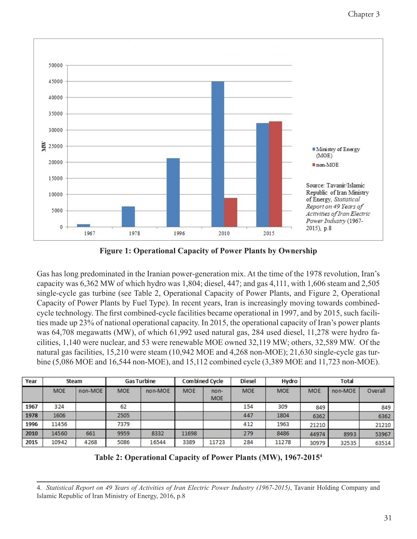

**Figure 1: Operational Capacity of Power Plants by Ownership**

Gas has long predominated in the Iranian power-generation mix. At the time of the 1978 revolution, Iran's capacity was 6,362 MW of which hydro was 1,804; diesel, 447; and gas 4,111, with 1,606 steam and 2,505 single-cycle gas turbine (see Table 2, Operational Capacity of Power Plants, and Figure 2, Operational Capacity of Power Plants by Fuel Type). In recent years, Iran is increasingly moving towards combinedcycle technology. The first combined-cycle facilities became operational in 1997, and by 2015, such facilities made up 23% of national operational capacity. In 2015, the operational capacity of Iran's power plants was 64,708 megawatts (MW), of which 61,992 used natural gas, 284 used diesel, 11,278 were hydro facilities, 1,140 were nuclear, and 53 were renewable MOE owned 32,119 MW; others, 32,589 MW. Of the natural gas facilities, 15,210 were steam (10,942 MOE and 4,268 non-MOE); 21,630 single-cycle gas turbine (5,086 MOE and 16,544 non-MOE), and 15,112 combined cycle (3,389 MOE and 11,723 non-MOE).

| Year | <b>Steam</b> |         | <b>Gas Turbine</b> |         | <b>Combined Cycle</b> |                      | <b>Diesel</b> | <b>Hydro</b> | <b>Total</b> |         |         |
|------|--------------|---------|--------------------|---------|-----------------------|----------------------|---------------|--------------|--------------|---------|---------|
|      | <b>MOE</b>   | non-MOE | <b>MOE</b>         | non-MOE | <b>MOE</b>            | $non-$<br><b>MOE</b> | <b>MOE</b>    | <b>MOE</b>   | <b>MOE</b>   | non-MOE | Overall |
| 1967 | 324          |         | 62                 |         |                       |                      | 154           | 309          | 849          |         | 849     |
| 1978 | 1606         |         | 2505               |         |                       |                      | 447           | 1804         | 6362         |         | 6362    |
| 1996 | 11456        |         | 7379               |         |                       |                      | 412           | 1963         | 21210        |         | 21210   |
| 2010 | 14560        | 661     | 9959               | 8332    | 11698                 |                      | 279           | 8486         | 44974        | 8993    | 53967   |
| 2015 | 10942        | 4268    | 5086               | 16544   | 3389                  | 11723                | 284           | 11278        | 30979        | 32535   | 63514   |

**Table 2: Operational Capacity of Power Plants (MW), 1967-20154**

4. *Statistical Report on 49 Years of Activities of Iran Electric Power Industry (1967-2015)*, Tavanir Holding Company and Islamic Republic of Iran Ministry of Energy, 2016, p.8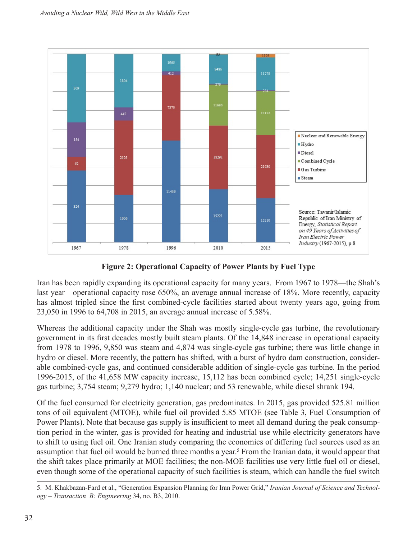

**Figure 2: Operational Capacity of Power Plants by Fuel Type**

Iran has been rapidly expanding its operational capacity for many years. From 1967 to 1978—the Shah's last year—operational capacity rose 650%, an average annual increase of 18%. More recently, capacity has almost tripled since the first combined-cycle facilities started about twenty years ago, going from 23,050 in 1996 to 64,708 in 2015, an average annual increase of 5.58%.

Whereas the additional capacity under the Shah was mostly single-cycle gas turbine, the revolutionary government in its first decades mostly built steam plants. Of the 14,848 increase in operational capacity from 1978 to 1996, 9,850 was steam and 4,874 was single-cycle gas turbine; there was little change in hydro or diesel. More recently, the pattern has shifted, with a burst of hydro dam construction, considerable combined-cycle gas, and continued considerable addition of single-cycle gas turbine. In the period 1996-2015, of the 41,658 MW capacity increase, 15,112 has been combined cycle; 14,251 single-cycle gas turbine; 3,754 steam; 9,279 hydro; 1,140 nuclear; and 53 renewable, while diesel shrank 194.

Of the fuel consumed for electricity generation, gas predominates. In 2015, gas provided 525.81 million tons of oil equivalent (MTOE), while fuel oil provided 5.85 MTOE (see Table 3, Fuel Consumption of Power Plants). Note that because gas supply is insufficient to meet all demand during the peak consumption period in the winter, gas is provided for heating and industrial use while electricity generators have to shift to using fuel oil. One Iranian study comparing the economics of differing fuel sources used as an assumption that fuel oil would be burned three months a year.<sup>5</sup> From the Iranian data, it would appear that the shift takes place primarily at MOE facilities; the non-MOE facilities use very little fuel oil or diesel, even though some of the operational capacity of such facilities is steam, which can handle the fuel switch

<sup>5.</sup> M. Khakbazan-Fard et al., "Generation Expansion Planning for Iran Power Grid," *Iranian Journal of Science and Technology – Transaction B: Engineering* 34, no. B3, 2010.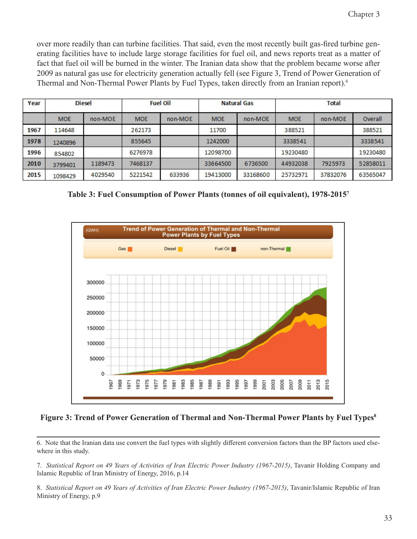over more readily than can turbine facilities. That said, even the most recently built gas-fired turbine generating facilities have to include large storage facilities for fuel oil, and news reports treat as a matter of fact that fuel oil will be burned in the winter. The Iranian data show that the problem became worse after 2009 as natural gas use for electricity generation actually fell (see Figure 3, Trend of Power Generation of Thermal and Non-Thermal Power Plants by Fuel Types, taken directly from an Iranian report).<sup>6</sup>

| Year |            | <b>Diesel</b> |            | <b>Fuel Oil</b> |            | <b>Natural Gas</b> | <b>Total</b> |          |          |
|------|------------|---------------|------------|-----------------|------------|--------------------|--------------|----------|----------|
|      | <b>MOE</b> | non-MOE       | <b>MOE</b> | non-MOE         | <b>MOE</b> | non-MOE            | <b>MOE</b>   | non-MOE  | Overall  |
| 1967 | 114648     |               | 262173     |                 | 11700      |                    | 388521       |          | 388521   |
| 1978 | 1240896    |               | 855645     |                 | 1242000    |                    | 3338541      |          | 3338541  |
| 1996 | 854802     |               | 6276978    |                 | 12098700   |                    | 19230480     |          | 19230480 |
| 2010 | 3799401    | 1189473       | 7468137    |                 | 33664500   | 6736500            | 44932038     | 7925973  | 52858011 |
| 2015 | 1098429    | 4029540       | 5221542    | 633936          | 19413000   | 33168600           | 25732971     | 37832076 | 63565047 |

**Table 3: Fuel Consumption of Power Plants (tonnes of oil equivalent), 1978-20157**



Figure 3: Trend of Power Generation of Thermal and Non-Thermal Power Plants by Fuel Types<sup>8</sup>

6. Note that the Iranian data use convert the fuel types with slightly different conversion factors than the BP factors used elsewhere in this study.

7. *Statistical Report on 49 Years of Activities of Iran Electric Power Industry (1967-2015)*, Tavanir Holding Company and Islamic Republic of Iran Ministry of Energy, 2016, p.14

8. *Statistical Report on 49 Years of Activities of Iran Electric Power Industry (1967-2015)*, Tavanir/Islamic Republic of Iran Ministry of Energy, p.9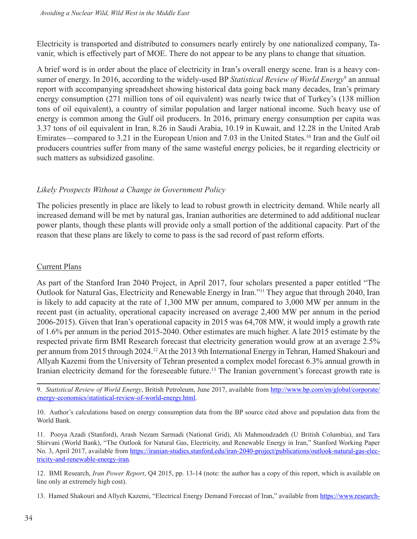Electricity is transported and distributed to consumers nearly entirely by one nationalized company, Tavanir, which is effectively part of MOE. There do not appear to be any plans to change that situation.

A brief word is in order about the place of electricity in Iran's overall energy scene. Iran is a heavy consumer of energy. In 2016, according to the widely-used BP Statistical Review of World Energy<sup>9</sup> an annual report with accompanying spreadsheet showing historical data going back many decades, Iran's primary energy consumption (271 million tons of oil equivalent) was nearly twice that of Turkey's (138 million tons of oil equivalent), a country of similar population and larger national income. Such heavy use of energy is common among the Gulf oil producers. In 2016, primary energy consumption per capita was 3.37 tons of oil equivalent in Iran, 8.26 in Saudi Arabia, 10.19 in Kuwait, and 12.28 in the United Arab Emirates—compared to 3.21 in the European Union and 7.03 in the United States.10 Iran and the Gulf oil producers countries suffer from many of the same wasteful energy policies, be it regarding electricity or such matters as subsidized gasoline.

#### *Likely Prospects Without a Change in Government Policy*

The policies presently in place are likely to lead to robust growth in electricity demand. While nearly all increased demand will be met by natural gas, Iranian authorities are determined to add additional nuclear power plants, though these plants will provide only a small portion of the additional capacity. Part of the reason that these plans are likely to come to pass is the sad record of past reform efforts.

#### Current Plans

As part of the Stanford Iran 2040 Project, in April 2017, four scholars presented a paper entitled "The Outlook for Natural Gas, Electricity and Renewable Energy in Iran."11 They argue that through 2040, Iran is likely to add capacity at the rate of 1,300 MW per annum, compared to 3,000 MW per annum in the recent past (in actuality, operational capacity increased on average 2,400 MW per annum in the period 2006-2015). Given that Iran's operational capacity in 2015 was 64,708 MW, it would imply a growth rate of 1.6% per annum in the period 2015-2040. Other estimates are much higher. A late 2015 estimate by the respected private firm BMI Research forecast that electricity generation would grow at an average 2.5% per annum from 2015 through 2024.12 At the 2013 9th International Energy in Tehran, Hamed Shakouri and Allyah Kazemi from the University of Tehran presented a complex model forecast 6.3% annual growth in Iranian electricity demand for the foreseeable future.<sup>13</sup> The Iranian government's forecast growth rate is

9. *Statistical Review of World Energy*, British Petroleum, June 2017, available from [http://www.bp.com/en/global/corporate/](http://www.bp.com/en/global/corporate/energy-economics/statistical-review-of-world-energy.html) [energy-economics/statistical-review-of-world-energy.html](http://www.bp.com/en/global/corporate/energy-economics/statistical-review-of-world-energy.html).

10. Author's calculations based on energy consumption data from the BP source cited above and population data from the World Bank.

11. Pooya Azadi (Stanford), Arash Nezam Sarmadi (National Grid), Ali Mahmoudzadeh (U British Columbia), and Tara Shirvani (World Bank), "The Outlook for Natural Gas, Electricity, and Renewable Energy in Iran," Stanford Working Paper No. 3, April 2017, available from [https://iranian-studies.stanford.edu/iran-2040-project/publications/outlook-natural-gas-elec](https://iranian-studies.stanford.edu/iran-2040-project/publications/outlook-natural-gas-electricity-and-renewable-energy-iran)[tricity-and-renewable-energy-iran](https://iranian-studies.stanford.edu/iran-2040-project/publications/outlook-natural-gas-electricity-and-renewable-energy-iran).

12. BMI Research, *Iran Power Report*, Q4 2015, pp. 13-14 (note: the author has a copy of this report, which is available on line only at extremely high cost).

13. Hamed Shakouri and Allyeh Kazemi, "Electrical Energy Demand Forecast of Iran," available from [https://www.research-](https://www.researchgate.net/publication/280573416_Electrical_Energy_Demand)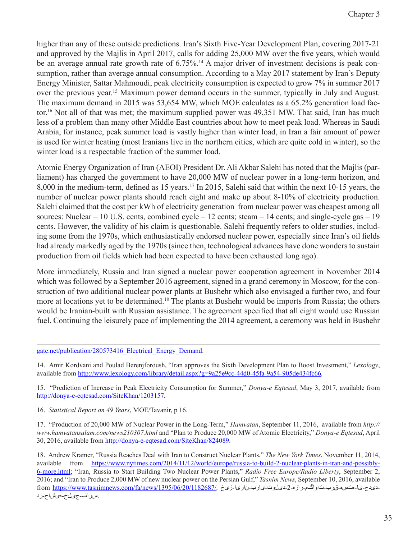higher than any of these outside predictions. Iran's Sixth Five-Year Development Plan, covering 2017-21 and approved by the Majlis in April 2017, calls for adding 25,000 MW over the five years, which would be an average annual rate growth rate of 6.75%.<sup>14</sup> A major driver of investment decisions is peak consumption, rather than average annual consumption. According to a May 2017 statement by Iran's Deputy Energy Minister, Sattar Mahmoudi, peak electricity consumption is expected to grow 7% in summer 2017 over the previous year.15 Maximum power demand occurs in the summer, typically in July and August. The maximum demand in 2015 was 53,654 MW, which MOE calculates as a 65.2% generation load factor.16 Not all of that was met; the maximum supplied power was 49,351 MW. That said, Iran has much less of a problem than many other Middle East countries about how to meet peak load. Whereas in Saudi Arabia, for instance, peak summer load is vastly higher than winter load, in Iran a fair amount of power is used for winter heating (most Iranians live in the northern cities, which are quite cold in winter), so the winter load is a respectable fraction of the summer load.

Atomic Energy Organization of Iran (AEOI) President Dr. Ali Akbar Salehi has noted that the Majlis (parliament) has charged the government to have 20,000 MW of nuclear power in a long-term horizon, and 8,000 in the medium-term, defined as 15 years.<sup>17</sup> In 2015, Salehi said that within the next 10-15 years, the number of nuclear power plants should reach eight and make up about 8-10% of electricity production. Salehi claimed that the cost per kWh of electricity generation from nuclear power was cheapest among all sources: Nuclear – 10 U.S. cents, combined cycle – 12 cents; steam – 14 cents; and single-cycle gas – 19 cents. However, the validity of his claim is questionable. Salehi frequently refers to older studies, including some from the 1970s, which enthusiastically endorsed nuclear power, especially since Iran's oil fields had already markedly aged by the 1970s (since then, technological advances have done wonders to sustain production from oil fields which had been expected to have been exhausted long ago).

More immediately, Russia and Iran signed a nuclear power cooperation agreement in November 2014 which was followed by a September 2016 agreement, signed in a grand ceremony in Moscow, for the construction of two additional nuclear power plants at Bushehr which also envisaged a further two, and four more at locations yet to be determined.18 The plants at Bushehr would be imports from Russia; the others would be Iranian-built with Russian assistance. The agreement specified that all eight would use Russian fuel. Continuing the leisurely pace of implementing the 2014 agreement, a ceremony was held in Bushehr

#### [gate.net/publication/280573416\\_Electrical\\_Energy\\_Demand.](https://www.researchgate.net/publication/280573416_Electrical_Energy_Demand)

14. Amir Kordvani and Poulad Berenjforoush, "Iran approves the Sixth Development Plan to Boost Investment," *Lexology*, available from <http://www.lexology.com/library/detail.aspx?g=9a25e9cc-44d0-45fa-9a54-905de434fc66>*.*

15. "Prediction of Increase in Peak Electricity Consumption for Summer," *Donya-e Eqtesad*, May 3, 2017, available from <http://donya-e-eqtesad.com/SiteKhan/1203157>*.*

16. *Statistical Report on 49 Years*, MOE/Tavanir, p 16.

17. "Production of 20,000 MW of Nuclear Power in the Long-Term," *Hamvatan*, September 11, 2016, available from *http:// www.hamvatansalam.com/news210307.html* and "Plan to Produce 20,000 MW of Atomic Electricity," *Donya-e Eqtesad*, April 30, 2016, available from <http://donya-e-eqtesad.com/SiteKhan/824089>.

18. Andrew Kramer, "Russia Reaches Deal with Iran to Construct Nuclear Plants," *The New York Times*, November 11, 2014, available from [https://www.nytimes.com/2014/11/12/world/europe/russia-to-build-2-nuclear-plants-in-iran-and-possibly-](https://www.nytimes.com/2014/11/12/world/europe/russia-to-build-2-nuclear-plants-in-iran-and-possibly-6-more.html)[6-more.html](https://www.nytimes.com/2014/11/12/world/europe/russia-to-build-2-nuclear-plants-in-iran-and-possibly-6-more.html); "Iran, Russia to Start Building Two Nuclear Power Plants," *Radio Free Europe/Radio Liberty*, September 2, 2016; and "Iran to Produce 2,000 MW of new nuclear power on the Persian Gulf," *Tasnim News*, September 10, 2016, available دیدج-یا-هتسه-قرب-تاواگـم-رازه-2-دیلوت-یارب-ناریا-زیخ /1<u>182687//1182687//, https://www.tasnimnews.com/fa/news/1395/06/20</u><br>سراف-جیملخ-میشاح-رد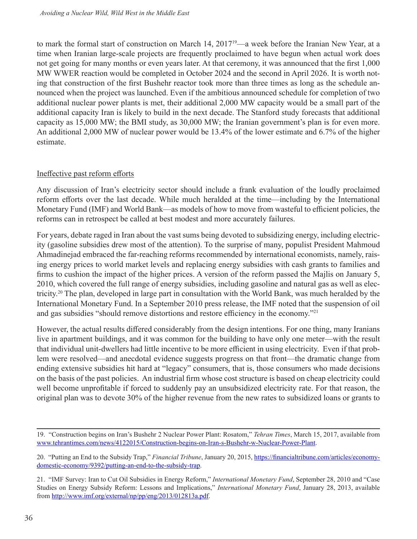to mark the formal start of construction on March 14, 201719—a week before the Iranian New Year, at a time when Iranian large-scale projects are frequently proclaimed to have begun when actual work does not get going for many months or even years later. At that ceremony, it was announced that the first 1,000 MW WWER reaction would be completed in October 2024 and the second in April 2026. It is worth noting that construction of the first Bushehr reactor took more than three times as long as the schedule announced when the project was launched. Even if the ambitious announced schedule for completion of two additional nuclear power plants is met, their additional 2,000 MW capacity would be a small part of the additional capacity Iran is likely to build in the next decade. The Stanford study forecasts that additional capacity as 15,000 MW; the BMI study, as 30,000 MW; the Iranian government's plan is for even more. An additional 2,000 MW of nuclear power would be 13.4% of the lower estimate and 6.7% of the higher estimate.

#### Ineffective past reform efforts

Any discussion of Iran's electricity sector should include a frank evaluation of the loudly proclaimed reform efforts over the last decade. While much heralded at the time—including by the International Monetary Fund (IMF) and World Bank—as models of how to move from wasteful to efficient policies, the reforms can in retrospect be called at best modest and more accurately failures.

For years, debate raged in Iran about the vast sums being devoted to subsidizing energy, including electricity (gasoline subsidies drew most of the attention). To the surprise of many, populist President Mahmoud Ahmadinejad embraced the far-reaching reforms recommended by international economists, namely, raising energy prices to world market levels and replacing energy subsidies with cash grants to families and firms to cushion the impact of the higher prices. A version of the reform passed the Majlis on January 5, 2010, which covered the full range of energy subsidies, including gasoline and natural gas as well as electricity.20 The plan, developed in large part in consultation with the World Bank, was much heralded by the International Monetary Fund. In a September 2010 press release, the IMF noted that the suspension of oil and gas subsidies "should remove distortions and restore efficiency in the economy."<sup>21</sup>

However, the actual results differed considerably from the design intentions. For one thing, many Iranians live in apartment buildings, and it was common for the building to have only one meter—with the result that individual unit-dwellers had little incentive to be more efficient in using electricity. Even if that problem were resolved—and anecdotal evidence suggests progress on that front—the dramatic change from ending extensive subsidies hit hard at "legacy" consumers, that is, those consumers who made decisions on the basis of the past policies. An industrial firm whose cost structure is based on cheap electricity could well become unprofitable if forced to suddenly pay an unsubsidized electricity rate. For that reason, the original plan was to devote 30% of the higher revenue from the new rates to subsidized loans or grants to

<sup>19. &</sup>quot;Construction begins on Iran's Bushehr 2 Nuclear Power Plant: Rosatom," *Tehran Times*, March 15, 2017, available from [www.tehrantimes.com/news/4122015/Construction-begins-on-Iran-s-Bushehr-w-Nuclear-Power-Plant](http://www.tehrantimes.com/news/412015/Construction-begins-on-Iran-s-Bushehr-2-Nuclear-Power-Plant).

<sup>20. &</sup>quot;Putting an End to the Subsidy Trap," *Financial Tribune*, January 20, 2015, [https://financialtribune.com/articles/economy](https://financialtribune.com/articles/economy-domestic-economy/9392/putting-an-end-to-the-subsidy-trap)[domestic-economy/9392/putting-an-end-to-the-subsidy-trap.](https://financialtribune.com/articles/economy-domestic-economy/9392/putting-an-end-to-the-subsidy-trap)

<sup>21. &</sup>quot;IMF Survey: Iran to Cut Oil Subsidies in Energy Reform," *International Monetary Fund*, September 28, 2010 and "Case Studies on Energy Subsidy Reform: Lessons and Implications," *International Monetary Fund*, January 28, 2013, available from <http://www.imf.org/external/np/pp/eng/2013/012813a.pdf>.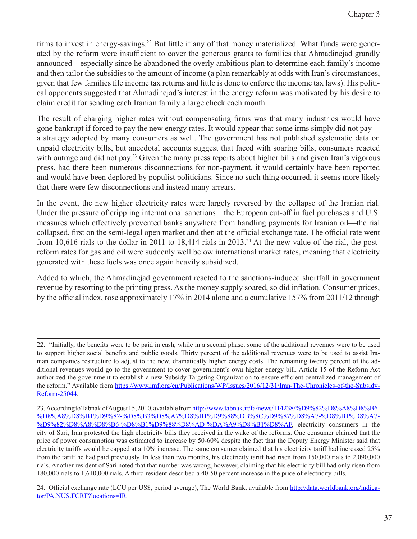firms to invest in energy-savings.<sup>22</sup> But little if any of that money materialized. What funds were generated by the reform were insufficient to cover the generous grants to families that Ahmadinejad grandly announced—especially since he abandoned the overly ambitious plan to determine each family's income and then tailor the subsidies to the amount of income (a plan remarkably at odds with Iran's circumstances, given that few families file income tax returns and little is done to enforce the income tax laws). His political opponents suggested that Ahmadinejad's interest in the energy reform was motivated by his desire to claim credit for sending each Iranian family a large check each month.

The result of charging higher rates without compensating firms was that many industries would have gone bankrupt if forced to pay the new energy rates. It would appear that some irms simply did not pay a strategy adopted by many consumers as well. The government has not published systematic data on unpaid electricity bills, but anecdotal accounts suggest that faced with soaring bills, consumers reacted with outrage and did not pay.<sup>23</sup> Given the many press reports about higher bills and given Iran's vigorous press, had there been numerous disconnections for non-payment, it would certainly have been reported and would have been deplored by populist politicians. Since no such thing occurred, it seems more likely that there were few disconnections and instead many arrears.

In the event, the new higher electricity rates were largely reversed by the collapse of the Iranian rial. Under the pressure of crippling international sanctions—the European cut-off in fuel purchases and U.S. measures which effectively prevented banks anywhere from handling payments for Iranian oil—the rial collapsed, first on the semi-legal open market and then at the official exchange rate. The official rate went from 10,616 rials to the dollar in 2011 to 18,414 rials in 2013.<sup>24</sup> At the new value of the rial, the postreform rates for gas and oil were suddenly well below international market rates, meaning that electricity generated with these fuels was once again heavily subsidized.

Added to which, the Ahmadinejad government reacted to the sanctions-induced shortfall in government revenue by resorting to the printing press. As the money supply soared, so did inflation. Consumer prices, by the official index, rose approximately 17% in 2014 alone and a cumulative 157% from 2011/12 through

<sup>22. &</sup>quot;Initially, the benefits were to be paid in cash, while in a second phase, some of the additional revenues were to be used to support higher social benefits and public goods. Thirty percent of the additional revenues were to be used to assist Iranian companies restructure to adjust to the new, dramatically higher energy costs. The remaining twenty percent of the additional revenues would go to the government to cover government's own higher energy bill. Article 15 of the Reform Act authorized the government to establish a new Subsidy Targeting Organization to ensure efficient centralized management of the reform." Available from [https://www.imf.org/en/Publications/WP/Issues/2016/12/31/Iran-The-Chronicles-of-the-Subsidy-](https://www.imf.org/en/Publications/WP/Issues/2016/12/31/Iran-The-Chronicles-of-the-Subsidy-Reform-25044)[Reform-25044.](https://www.imf.org/en/Publications/WP/Issues/2016/12/31/Iran-The-Chronicles-of-the-Subsidy-Reform-25044)

<sup>23.</sup> According to Tabnak of August 15, 2010, available from [http://www.tabnak.ir/fa/news/114238/%D9%82%D8%A8%D8%B6-](http://www.tabnak.ir/fa/news/114238/%D9%82%D8%A8%D8%B6-%D8%A8%D8%B1%D9%82-%D8%B3%D8%A7%D8%B1%D9%88%DB%8C%D9%87%D8%A7-%D8%B1%D8%A7-%D9%82%D8%A8%D8%B6-%D8%B1%D9%88%D8%AD-%DA%A9%D8%B1%D8%AF) [%D8%A8%D8%B1%D9%82-%D8%B3%D8%A7%D8%B1%D9%88%DB%8C%D9%87%D8%A7-%D8%B1%D8%A7-](http://www.tabnak.ir/fa/news/114238/%D9%82%D8%A8%D8%B6-%D8%A8%D8%B1%D9%82-%D8%B3%D8%A7%D8%B1%D9%88%DB%8C%D9%87%D8%A7-%D8%B1%D8%A7-%D9%82%D8%A8%D8%B6-%D8%B1%D9%88%D8%AD-%DA%A9%D8%B1%D8%AF) [%D9%82%D8%A8%D8%B6-%D8%B1%D9%88%D8%AD-%DA%A9%D8%B1%D8%AF,](http://www.tabnak.ir/fa/news/114238/%D9%82%D8%A8%D8%B6-%D8%A8%D8%B1%D9%82-%D8%B3%D8%A7%D8%B1%D9%88%DB%8C%D9%87%D8%A7-%D8%B1%D8%A7-%D9%82%D8%A8%D8%B6-%D8%B1%D9%88%D8%AD-%DA%A9%D8%B1%D8%AF) electricity consumers in the city of Sari, Iran protested the high electricity bills they received in the wake of the reforms. One consumer claimed that the price of power consumption was estimated to increase by 50-60% despite the fact that the Deputy Energy Minister said that electricity tariffs would be capped at a 10% increase. The same consumer claimed that his electricity tariff had increased 25% from the tariff he had paid previously. In less than two months, his electricity tariff had risen from 150,000 rials to 2,090,000 rials. Another resident of Sari noted that that number was wrong, however, claiming that his electricity bill had only risen from 180,000 rials to 1,610,000 rials. A third resident described a 40-50 percent increase in the price of electricity bills.

<sup>24.</sup> Official exchange rate (LCU per US\$, period average), The World Bank, available from [http://data.worldbank.org/indica](http://data.worldbank.org/indicator/PA.NUS.FCRF?locations=IR)[tor/PA.NUS.FCRF?locations=IR](http://data.worldbank.org/indicator/PA.NUS.FCRF?locations=IR)*.*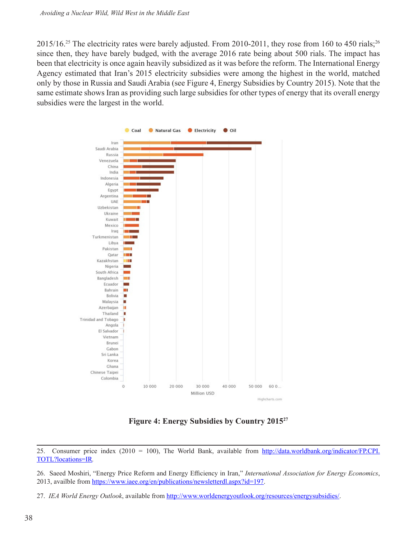$2015/16^{25}$  The electricity rates were barely adjusted. From 2010-2011, they rose from 160 to 450 rials;<sup>26</sup> since then, they have barely budged, with the average 2016 rate being about 500 rials. The impact has been that electricity is once again heavily subsidized as it was before the reform. The International Energy Agency estimated that Iran's 2015 electricity subsidies were among the highest in the world, matched only by those in Russia and Saudi Arabia (see Figure 4, Energy Subsidies by Country 2015). Note that the same estimate shows Iran as providing such large subsidies for other types of energy that its overall energy subsidies were the largest in the world.



**Figure 4: Energy Subsidies by Country 201527**

27. *IEA World Energy Outlook*, available from <http://www.worldenergyoutlook.org/resources/energysubsidies/>.

<sup>25.</sup> Consumer price index (2010 = 100), The World Bank, available from [http://data.worldbank.org/indicator/FP.CPI.](http://data.worldbank.org/indicator/FP.CPI.TOTL?locations=IR) [TOTL?locations=IR](http://data.worldbank.org/indicator/FP.CPI.TOTL?locations=IR)*.*

<sup>26.</sup> Saeed Moshiri, "Energy Price Reform and Energy Efficiency in Iran," *International Association for Energy Economics*, 2013, availble from<https://www.iaee.org/en/publications/newsletterdl.aspx?id=197>.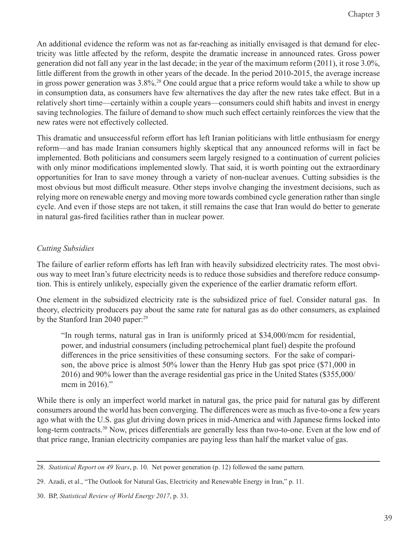An additional evidence the reform was not as far-reaching as initially envisaged is that demand for electricity was little affected by the reform, despite the dramatic increase in announced rates. Gross power generation did not fall any year in the last decade; in the year of the maximum reform (2011), it rose 3.0%, little different from the growth in other years of the decade. In the period 2010-2015, the average increase in gross power generation was 3.8%.<sup>28</sup> One could argue that a price reform would take a while to show up in consumption data, as consumers have few alternatives the day after the new rates take effect. But in a relatively short time—certainly within a couple years—consumers could shift habits and invest in energy saving technologies. The failure of demand to show much such effect certainly reinforces the view that the new rates were not effectively collected.

This dramatic and unsuccessful reform effort has left Iranian politicians with little enthusiasm for energy reform—and has made Iranian consumers highly skeptical that any announced reforms will in fact be implemented. Both politicians and consumers seem largely resigned to a continuation of current policies with only minor modifications implemented slowly. That said, it is worth pointing out the extraordinary opportunities for Iran to save money through a variety of non-nuclear avenues. Cutting subsidies is the most obvious but most difficult measure. Other steps involve changing the investment decisions, such as relying more on renewable energy and moving more towards combined cycle generation rather than single cycle. And even if those steps are not taken, it still remains the case that Iran would do better to generate in natural gas-fired facilities rather than in nuclear power.

# *Cutting Subsidies*

The failure of earlier reform efforts has left Iran with heavily subsidized electricity rates. The most obvious way to meet Iran's future electricity needs is to reduce those subsidies and therefore reduce consumption. This is entirely unlikely, especially given the experience of the earlier dramatic reform effort.

One element in the subsidized electricity rate is the subsidized price of fuel. Consider natural gas. In theory, electricity producers pay about the same rate for natural gas as do other consumers, as explained by the Stanford Iran 2040 paper:<sup>29</sup>

"In rough terms, natural gas in Iran is uniformly priced at \$34,000/mcm for residential, power, and industrial consumers (including petrochemical plant fuel) despite the profound differences in the price sensitivities of these consuming sectors. For the sake of comparison, the above price is almost 50% lower than the Henry Hub gas spot price (\$71,000 in 2016) and 90% lower than the average residential gas price in the United States (\$355,000/ mcm in 2016)."

While there is only an imperfect world market in natural gas, the price paid for natural gas by different consumers around the world has been converging. The differences were as much as five-to-one a few years ago what with the U.S. gas glut driving down prices in mid-America and with Japanese firms locked into long-term contracts.<sup>30</sup> Now, prices differentials are generally less than two-to-one. Even at the low end of that price range, Iranian electricity companies are paying less than half the market value of gas.

<sup>28.</sup> *Statistical Report on 49 Years*, p. 10. Net power generation (p. 12) followed the same pattern.

<sup>29.</sup> Azadi, et al., "The Outlook for Natural Gas, Electricity and Renewable Energy in Iran," p. 11.

<sup>30.</sup> BP, *Statistical Review of World Energy 2017*, p. 33.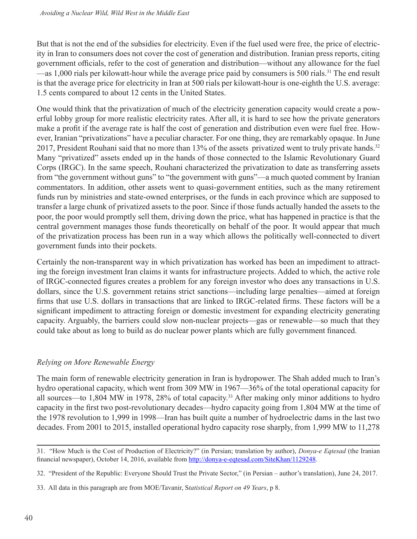But that is not the end of the subsidies for electricity. Even if the fuel used were free, the price of electricity in Iran to consumers does not cover the cost of generation and distribution. Iranian press reports, citing government officials, refer to the cost of generation and distribution—without any allowance for the fuel —as 1,000 rials per kilowatt-hour while the average price paid by consumers is 500 rials.<sup>31</sup> The end result is that the average price for electricity in Iran at 500 rials per kilowatt-hour is one-eighth the U.S. average: 1.5 cents compared to about 12 cents in the United States.

One would think that the privatization of much of the electricity generation capacity would create a powerful lobby group for more realistic electricity rates. After all, it is hard to see how the private generators make a profit if the average rate is half the cost of generation and distribution even were fuel free. However, Iranian "privatizations" have a peculiar character. For one thing, they are remarkably opaque. In June 2017, President Rouhani said that no more than 13% of the assets privatized went to truly private hands.<sup>32</sup> Many "privatized" assets ended up in the hands of those connected to the Islamic Revolutionary Guard Corps (IRGC). In the same speech, Rouhani characterized the privatization to date as transferring assets from "the government without guns" to "the government with guns"—a much quoted comment by Iranian commentators. In addition, other assets went to quasi-government entities, such as the many retirement funds run by ministries and state-owned enterprises, or the funds in each province which are supposed to transfer a large chunk of privatized assets to the poor. Since if those funds actually handed the assets to the poor, the poor would promptly sell them, driving down the price, what has happened in practice is that the central government manages those funds theoretically on behalf of the poor. It would appear that much of the privatization process has been run in a way which allows the politically well-connected to divert government funds into their pockets.

Certainly the non-transparent way in which privatization has worked has been an impediment to attracting the foreign investment Iran claims it wants for infrastructure projects. Added to which, the active role of IRGC-connected figures creates a problem for any foreign investor who does any transactions in U.S. dollars, since the U.S. government retains strict sanctions—including large penalties—aimed at foreign firms that use U.S. dollars in transactions that are linked to IRGC-related firms. These factors will be a significant impediment to attracting foreign or domestic investment for expanding electricity generating capacity. Arguably, the barriers could slow non-nuclear projects—gas or renewable—so much that they could take about as long to build as do nuclear power plants which are fully government financed.

# *Relying on More Renewable Energy*

The main form of renewable electricity generation in Iran is hydropower. The Shah added much to Iran's hydro operational capacity, which went from 309 MW in 1967—36% of the total operational capacity for all sources—to 1,804 MW in 1978, 28% of total capacity.33 After making only minor additions to hydro capacity in the first two post-revolutionary decades—hydro capacity going from 1,804 MW at the time of the 1978 revolution to 1,999 in 1998—Iran has built quite a number of hydroelectric dams in the last two decades. From 2001 to 2015, installed operational hydro capacity rose sharply, from 1,999 MW to 11,278

<sup>31. &</sup>quot;How Much is the Cost of Production of Electricity?" (in Persian; translation by author), *Donya-e Eqtesad* (the Iranian financial newspaper), October 14, 2016, available from [http://donya-e-eqtesad.com/SiteKhan/1129248.](http://donya-e-eqtesad.com/SiteKhan/1129248)

<sup>32. &</sup>quot;President of the Republic: Everyone Should Trust the Private Sector," (in Persian – author's translation), June 24, 2017.

<sup>33.</sup> All data in this paragraph are from MOE/Tavanir, S*tatistical Report on 49 Years*, p 8.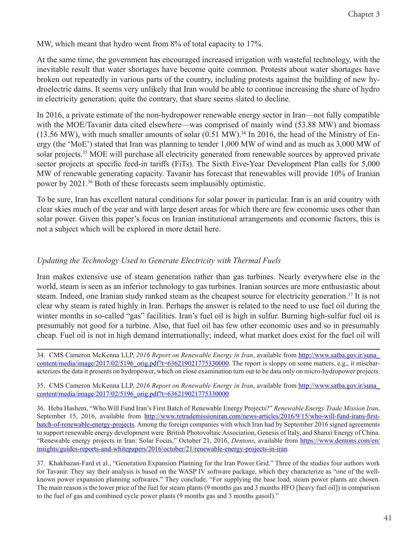MW, which meant that hydro went from 8% of total capacity to 17%.

At the same time, the government has encouraged increased irrigation with wasteful technology, with the inevitable result that water shortages have become quite common. Protests about water shortages have broken out repeatedly in various parts of the country, including protests against the building of new hydroelectric dams. It seems very unlikely that Iran would be able to continue increasing the share of hydro in electricity generation; quite the contrary, that share seems slated to decline.

In 2016, a private estimate of the non-hydropower renewable energy sector in Iran—not fully compatible with the MOE/Tavanir data cited elsewhere—was comprised of mainly wind (53.88 MW) and biomass (13.56 MW), with much smaller amounts of solar  $(0.51 \text{ MW})$ .<sup>34</sup> In 2016, the head of the Ministry of Energy (the 'MoE') stated that Iran was planning to tender 1,000 MW of wind and as much as 3,000 MW of solar projects.35 MOE will purchase all electricity generated from renewable sources by approved private sector projects at specific feed-in tariffs (FiTs). The Sixth Five-Year Development Plan calls for 5,000 MW of renewable generating capacity. Tavanir has forecast that renewables will provide 10% of Iranian power by 2021.36 Both of these forecasts seem implausibly optimistic.

To be sure, Iran has excellent natural conditions for solar power in particular. Iran is an arid country with clear skies much of the year and with large desert areas for which there are few economic uses other than solar power. Given this paper's focus on Iranian institutional arrangements and economic factors, this is not a subject which will be explored in more detail here.

# *Updating the Technology Used to Generate Electricity with Thermal Fuels*

Iran makes extensive use of steam generation rather than gas turbines. Nearly everywhere else in the world, steam is seen as an inferior technology to gas turbines. Iranian sources are more enthusiastic about steam. Indeed, one Iranian study ranked steam as the cheapest source for electricity generation.<sup>37</sup> It is not clear why steam is rated highly in Iran. Perhaps the answer is related to the need to use fuel oil during the winter months in so-called "gas" facilities. Iran's fuel oil is high in sulfur. Burning high-sulfur fuel oil is presumably not good for a turbine. Also, that fuel oil has few other economic uses and so in presumably cheap. Fuel oil is not in high demand internationally; indeed, what market does exist for the fuel oil will

34. CMS Cameron McKenna LLP, *2016 Report on Renewable Energy in Iran*, available from [http://www.satba.gov.ir/suna\\_](http://www.satba.gov.ir/suna_content/media/image/2017/02/5196_orig.pdf?t=636219021775330000) [content/media/image/2017/02/5196\\_orig.pdf?t=636219021775330000.](http://www.satba.gov.ir/suna_content/media/image/2017/02/5196_orig.pdf?t=636219021775330000) The report is sloppy on some matters, e.g., it mischaracterizes the data it presents on hydropower, which on close examination turn out to be data only on micro-hydropower projects.

35. CMS Cameron McKenna LLP, *2016 Report on Renewable Energy in Iran*, available from [http://www.satba.gov.ir/suna\\_](http://www.satba.gov.ir/suna_content/media/image/2017/02/5196_orig.pdf?t=636219021775330000) [content/media/image/2017/02/5196\\_orig.pdf?t=636219021775330000](http://www.satba.gov.ir/suna_content/media/image/2017/02/5196_orig.pdf?t=636219021775330000)*.*

36. Heba Hashem, "Who Will Fund Iran's First Batch of Renewable Energy Projects?" *Renewable Energy Trade Mission Iran*, September 15, 2016, available from [http://www.retrademissioniran.com/news-articles/2016/9/15/who-will-fund-irans-first](http://www.retrademissioniran.com/news-articles/2016/9/15/who-will-fund-irans-first-batch-of-renewable-energy-projects)[batch-of-renewable-energy-projects](http://www.retrademissioniran.com/news-articles/2016/9/15/who-will-fund-irans-first-batch-of-renewable-energy-projects). Among the foreign companies with which Iran had by September 2016 signed agreements to support renewable energy development were British Photovoltaic Association, Genesis of Italy, and Shanxi Energy of China. "Renewable energy projects in Iran: Solar Focus," October 21, 2016, *Dentons*, available from [https://www.dentons.com/en/](https://www.dentons.com/en/insights/guides-reports-and-whitepapers/2016/october/21/renewable-energy-projects-in-iran) [insights/guides-reports-and-whitepapers/2016/october/21/renewable-energy-projects-in-iran](https://www.dentons.com/en/insights/guides-reports-and-whitepapers/2016/october/21/renewable-energy-projects-in-iran)*.* 

37. Khakbazan-Fard et al., "Generation Expansion Planning for the Iran Power Grid." Three of the studies four authors work for Tavanir. They say their analysis is based on the WASP IV software package, which they characterize as "one of the wellknown power expansion planning softwares." They conclude, "For supplying the base load, steam power plants are chosen. The main reason is the lower price of the fuel for steam plants (9 months gas and 3 months HFO [heavy fuel oil]) in comparison to the fuel of gas and combined cycle power plants (9 months gas and 3 months gasoil)."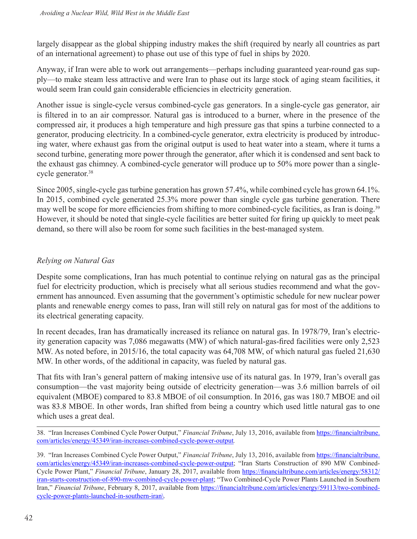largely disappear as the global shipping industry makes the shift (required by nearly all countries as part of an international agreement) to phase out use of this type of fuel in ships by 2020.

Anyway, if Iran were able to work out arrangements—perhaps including guaranteed year-round gas supply—to make steam less attractive and were Iran to phase out its large stock of aging steam facilities, it would seem Iran could gain considerable efficiencies in electricity generation.

Another issue is single-cycle versus combined-cycle gas generators. In a single-cycle gas generator, air is filtered in to an air compressor. Natural gas is introduced to a burner, where in the presence of the compressed air, it produces a high temperature and high pressure gas that spins a turbine connected to a generator, producing electricity. In a combined-cycle generator, extra electricity is produced by introducing water, where exhaust gas from the original output is used to heat water into a steam, where it turns a second turbine, generating more power through the generator, after which it is condensed and sent back to the exhaust gas chimney. A combined-cycle generator will produce up to 50% more power than a singlecycle generator.<sup>38</sup>

Since 2005, single-cycle gas turbine generation has grown 57.4%, while combined cycle has grown 64.1%. In 2015, combined cycle generated 25.3% more power than single cycle gas turbine generation. There may well be scope for more efficiencies from shifting to more combined-cycle facilities, as Iran is doing.<sup>39</sup> However, it should be noted that single-cycle facilities are better suited for firing up quickly to meet peak demand, so there will also be room for some such facilities in the best-managed system.

# *Relying on Natural Gas*

Despite some complications, Iran has much potential to continue relying on natural gas as the principal fuel for electricity production, which is precisely what all serious studies recommend and what the government has announced. Even assuming that the government's optimistic schedule for new nuclear power plants and renewable energy comes to pass, Iran will still rely on natural gas for most of the additions to its electrical generating capacity.

In recent decades, Iran has dramatically increased its reliance on natural gas. In 1978/79, Iran's electricity generation capacity was 7,086 megawatts (MW) of which natural-gas-fired facilities were only 2,523 MW. As noted before, in 2015/16, the total capacity was 64,708 MW, of which natural gas fueled 21,630 MW. In other words, of the additional in capacity, was fueled by natural gas.

That fits with Iran's general pattern of making intensive use of its natural gas. In 1979, Iran's overall gas consumption—the vast majority being outside of electricity generation—was 3.6 million barrels of oil equivalent (MBOE) compared to 83.8 MBOE of oil consumption. In 2016, gas was 180.7 MBOE and oil was 83.8 MBOE. In other words, Iran shifted from being a country which used little natural gas to one which uses a great deal.

<sup>38. &</sup>quot;Iran Increases Combined Cycle Power Output," *Financial Tribune*, July 13, 2016, available from [https://financialtribune.](https://financialtribune.com/articles/energy/45349/iran-increases-combined-cycle-power-output) [com/articles/energy/45349/iran-increases-combined-cycle-power-output](https://financialtribune.com/articles/energy/45349/iran-increases-combined-cycle-power-output)*.*

<sup>39. &</sup>quot;Iran Increases Combined Cycle Power Output," *Financial Tribune*, July 13, 2016, available from [https://financialtribune.](https://financialtribune.com/articles/energy/45349/iran-increases-combined-cycle-power-output) [com/articles/energy/45349/iran-increases-combined-cycle-power-output](https://financialtribune.com/articles/energy/45349/iran-increases-combined-cycle-power-output); "Iran Starts Construction of 890 MW Combined-Cycle Power Plant," *Financial Tribune*, January 28, 2017, available from [https://financialtribune.com/articles/energy/58312/](https://financialtribune.com/articles/energy/58312/iran-starts-construction-of-890-mw-combined-cycle-power-plant) [iran-starts-construction-of-890-mw-combined-cycle-power-plant](https://financialtribune.com/articles/energy/58312/iran-starts-construction-of-890-mw-combined-cycle-power-plant); "Two Combined-Cycle Power Plants Launched in Southern Iran," *Financial Tribune*, February 8, 2017, available from [https://financialtribune.com/articles/energy/59113/two-combined](https://financialtribune.com/articles/energy/59113/two-combined-cycle-power-plants-launched-in-southern-iran\)[cycle-power-plants-launched-in-southern-iran\](https://financialtribune.com/articles/energy/59113/two-combined-cycle-power-plants-launched-in-southern-iran\)*.*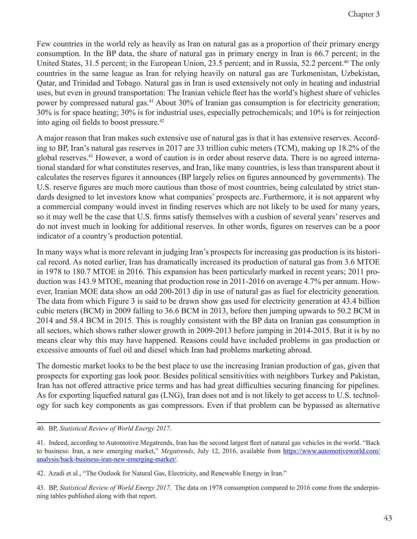Few countries in the world rely as heavily as Iran on natural gas as a proportion of their primary energy consumption. In the BP data, the share of natural gas in primary energy in Iran is 66.7 percent; in the United States, 31.5 percent; in the European Union, 23.5 percent; and in Russia, 52.2 percent.<sup>40</sup> The only countries in the same league as Iran for relying heavily on natural gas are Turkmenistan, Uzbekistan, Qatar, and Trinidad and Tobago. Natural gas in Iran is used extensively not only in heating and industrial uses, but even in ground transportation: The Iranian vehicle fleet has the world's highest share of vehicles power by compressed natural gas.<sup>41</sup> About 30% of Iranian gas consumption is for electricity generation; 30% is for space heating; 30% is for industrial uses, especially petrochemicals; and 10% is for reinjection into aging oil fields to boost pressure.<sup>42</sup>

A major reason that Iran makes such extensive use of natural gas is that it has extensive reserves. According to BP, Iran's natural gas reserves in 2017 are 33 trillion cubic meters (TCM), making up 18.2% of the global reserves.43 However, a word of caution is in order about reserve data. There is no agreed international standard for what constitutes reserves, and Iran, like many countries, is less than transparent about it calculates the reserves figures it announces (BP largely relies on figures announced by governments). The U.S. reserve figures are much more cautious than those of most countries, being calculated by strict standards designed to let investors know what companies' prospects are. Furthermore, it is not apparent why a commercial company would invest in finding reserves which are not likely to be used for many years, so it may well be the case that U.S. firms satisfy themselves with a cushion of several years' reserves and do not invest much in looking for additional reserves. In other words, figures on reserves can be a poor indicator of a country's production potential.

In many ways what is more relevant in judging Iran's prospects for increasing gas production is its historical record. As noted earlier, Iran has dramatically increased its production of natural gas from 3.6 MTOE in 1978 to 180.7 MTOE in 2016. This expansion has been particularly marked in recent years; 2011 production was 143.9 MTOE, meaning that production rose in 2011-2016 on average 4.7% per annum. However, Iranian MOE data show an odd 200-2013 dip in use of natural gas as fuel for electricity generation. The data from which Figure 3 is said to be drawn show gas used for electricity generation at 43.4 billion cubic meters (BCM) in 2009 falling to 36.6 BCM in 2013, before then jumping upwards to 50.2 BCM in 2014 and 58.4 BCM in 2015. This is roughly consistent with the BP data on Iranian gas consumption in all sectors, which shows rather slower growth in 2009-2013 before jumping in 2014-2015. But it is by no means clear why this may have happened. Reasons could have included problems in gas production or excessive amounts of fuel oil and diesel which Iran had problems marketing abroad.

The domestic market looks to be the best place to use the increasing Iranian production of gas, given that prospects for exporting gas look poor. Besides political sensitivities with neighbors Turkey and Pakistan, Iran has not offered attractive price terms and has had great difficulties securing financing for pipelines. As for exporting liquefied natural gas (LNG), Iran does not and is not likely to get access to U.S. technology for such key components as gas compressors. Even if that problem can be bypassed as alternative

40. BP, *Statistical Review of World Energy 2017.*

<sup>41.</sup> Indeed, according to Automotive Megatrends, Iran has the second largest fleet of natural gas vehicles in the world. "Back to business: Iran, a new emerging market," *Megatrends*, July 12, 2016, available from [https://www.automotiveworld.com/](https://www.automotiveworld.com/analysis/back-business-iran-new-emerging-market/) [analysis/back-business-iran-new-emerging-market/.](https://www.automotiveworld.com/analysis/back-business-iran-new-emerging-market/)

<sup>42.</sup> Azadi et al., "The Outlook for Natural Gas, Electricity, and Renewable Energy in Iran."

<sup>43.</sup> BP, *Statistical Review of World Energy 2017*. The data on 1978 consumption compared to 2016 come from the underpinning tables published along with that report.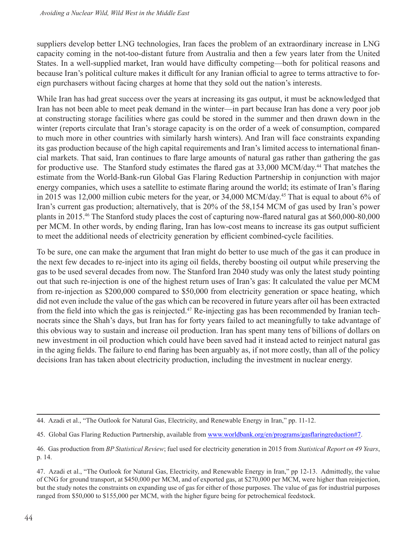suppliers develop better LNG technologies, Iran faces the problem of an extraordinary increase in LNG capacity coming in the not-too-distant future from Australia and then a few years later from the United States. In a well-supplied market, Iran would have difficulty competing—both for political reasons and because Iran's political culture makes it difficult for any Iranian official to agree to terms attractive to foreign purchasers without facing charges at home that they sold out the nation's interests.

While Iran has had great success over the years at increasing its gas output, it must be acknowledged that Iran has not been able to meet peak demand in the winter—in part because Iran has done a very poor job at constructing storage facilities where gas could be stored in the summer and then drawn down in the winter (reports circulate that Iran's storage capacity is on the order of a week of consumption, compared to much more in other countries with similarly harsh winters). And Iran will face constraints expanding its gas production because of the high capital requirements and Iran's limited access to international financial markets. That said, Iran continues to flare large amounts of natural gas rather than gathering the gas for productive use. The Stanford study estimates the flared gas at 33,000 MCM/day.<sup>44</sup> That matches the estimate from the World-Bank-run Global Gas Flaring Reduction Partnership in conjunction with major energy companies, which uses a satellite to estimate flaring around the world; its estimate of Iran's flaring in 2015 was 12,000 million cubic meters for the year, or 34,000 MCM/day.45 That is equal to about 6% of Iran's current gas production; alternatively, that is 20% of the 58,154 MCM of gas used by Iran's power plants in 2015.46 The Stanford study places the cost of capturing now-flared natural gas at \$60,000-80,000 per MCM. In other words, by ending flaring, Iran has low-cost means to increase its gas output sufficient to meet the additional needs of electricity generation by efficient combined-cycle facilities.

To be sure, one can make the argument that Iran might do better to use much of the gas it can produce in the next few decades to re-inject into its aging oil fields, thereby boosting oil output while preserving the gas to be used several decades from now. The Stanford Iran 2040 study was only the latest study pointing out that such re-injection is one of the highest return uses of Iran's gas: It calculated the value per MCM from re-injection as \$200,000 compared to \$50,000 from electricity generation or space heating, which did not even include the value of the gas which can be recovered in future years after oil has been extracted from the field into which the gas is reinjected.<sup>47</sup> Re-injecting gas has been recommended by Iranian technocrats since the Shah's days, but Iran has for forty years failed to act meaningfully to take advantage of this obvious way to sustain and increase oil production. Iran has spent many tens of billions of dollars on new investment in oil production which could have been saved had it instead acted to reinject natural gas in the aging fields. The failure to end flaring has been arguably as, if not more costly, than all of the policy decisions Iran has taken about electricity production, including the investment in nuclear energy.

<sup>44.</sup> Azadi et al., "The Outlook for Natural Gas, Electricity, and Renewable Energy in Iran," pp. 11-12.

<sup>45.</sup> Global Gas Flaring Reduction Partnership, available from<www.worldbank.org/en/programs/gasflaringreduction#7>.

<sup>46.</sup> Gas production from *BP Statistical Review*; fuel used for electricity generation in 2015 from *Statistical Report on 49 Years*, p. 14.

<sup>47.</sup> Azadi et al., "The Outlook for Natural Gas, Electricity, and Renewable Energy in Iran," pp 12-13. Admittedly, the value of CNG for ground transport, at \$450,000 per MCM, and of exported gas, at \$270,000 per MCM, were higher than reinjection, but the study notes the constraints on expanding use of gas for either of those purposes. The value of gas for industrial purposes ranged from \$50,000 to \$155,000 per MCM, with the higher figure being for petrochemical feedstock.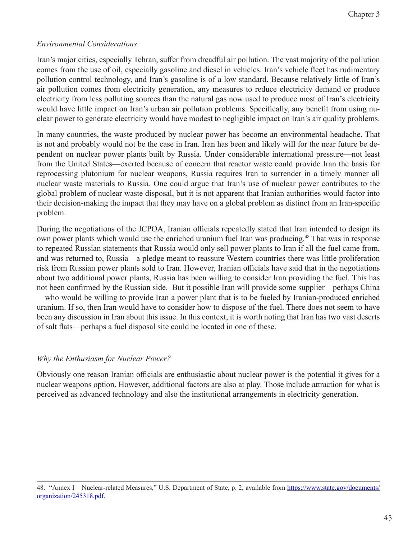# *Environmental Considerations*

Iran's major cities, especially Tehran, suffer from dreadful air pollution. The vast majority of the pollution comes from the use of oil, especially gasoline and diesel in vehicles. Iran's vehicle fleet has rudimentary pollution control technology, and Iran's gasoline is of a low standard. Because relatively little of Iran's air pollution comes from electricity generation, any measures to reduce electricity demand or produce electricity from less polluting sources than the natural gas now used to produce most of Iran's electricity would have little impact on Iran's urban air pollution problems. Specifically, any benefit from using nuclear power to generate electricity would have modest to negligible impact on Iran's air quality problems.

In many countries, the waste produced by nuclear power has become an environmental headache. That is not and probably would not be the case in Iran. Iran has been and likely will for the near future be dependent on nuclear power plants built by Russia. Under considerable international pressure—not least from the United States—exerted because of concern that reactor waste could provide Iran the basis for reprocessing plutonium for nuclear weapons, Russia requires Iran to surrender in a timely manner all nuclear waste materials to Russia. One could argue that Iran's use of nuclear power contributes to the global problem of nuclear waste disposal, but it is not apparent that Iranian authorities would factor into their decision-making the impact that they may have on a global problem as distinct from an Iran-specific problem.

During the negotiations of the JCPOA, Iranian officials repeatedly stated that Iran intended to design its own power plants which would use the enriched uranium fuel Iran was producing.<sup>48</sup> That was in response to repeated Russian statements that Russia would only sell power plants to Iran if all the fuel came from, and was returned to, Russia—a pledge meant to reassure Western countries there was little proliferation risk from Russian power plants sold to Iran. However, Iranian officials have said that in the negotiations about two additional power plants, Russia has been willing to consider Iran providing the fuel. This has not been confirmed by the Russian side. But it possible Iran will provide some supplier—perhaps China —who would be willing to provide Iran a power plant that is to be fueled by Iranian-produced enriched uranium. If so, then Iran would have to consider how to dispose of the fuel. There does not seem to have been any discussion in Iran about this issue. In this context, it is worth noting that Iran has two vast deserts of salt flats—perhaps a fuel disposal site could be located in one of these.

#### *Why the Enthusiasm for Nuclear Power?*

Obviously one reason Iranian officials are enthusiastic about nuclear power is the potential it gives for a nuclear weapons option. However, additional factors are also at play. Those include attraction for what is perceived as advanced technology and also the institutional arrangements in electricity generation.

<sup>48. &</sup>quot;Annex I – Nuclear-related Measures," U.S. Department of State, p. 2, available from [https://www.state.gov/documents/](https://www.state.gov/documents/organization/245318.pdf) [organization/245318.pdf](https://www.state.gov/documents/organization/245318.pdf).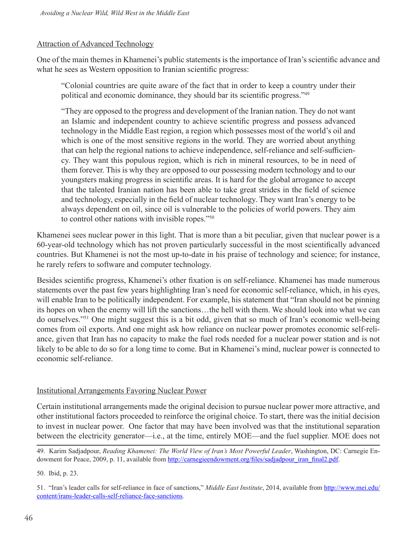#### Attraction of Advanced Technology

One of the main themes in Khamenei's public statements is the importance of Iran's scientific advance and what he sees as Western opposition to Iranian scientific progress:

"Colonial countries are quite aware of the fact that in order to keep a country under their political and economic dominance, they should bar its scientific progress."<sup>49</sup>

"They are opposed to the progress and development of the Iranian nation. They do not want an Islamic and independent country to achieve scientific progress and possess advanced technology in the Middle East region, a region which possesses most of the world's oil and which is one of the most sensitive regions in the world. They are worried about anything that can help the regional nations to achieve independence, self-reliance and self-sufficiency. They want this populous region, which is rich in mineral resources, to be in need of them forever. This is why they are opposed to our possessing modern technology and to our youngsters making progress in scientific areas. It is hard for the global arrogance to accept that the talented Iranian nation has been able to take great strides in the field of science and technology, especially in the field of nuclear technology. They want Iran's energy to be always dependent on oil, since oil is vulnerable to the policies of world powers. They aim to control other nations with invisible ropes."<sup>50</sup>

Khamenei sees nuclear power in this light. That is more than a bit peculiar, given that nuclear power is a 60-year-old technology which has not proven particularly successful in the most scientifically advanced countries. But Khamenei is not the most up-to-date in his praise of technology and science; for instance, he rarely refers to software and computer technology.

Besides scientific progress, Khamenei's other fixation is on self-reliance. Khamenei has made numerous statements over the past few years highlighting Iran's need for economic self-reliance, which, in his eyes, will enable Iran to be politically independent. For example, his statement that "Iran should not be pinning its hopes on when the enemy will lift the sanctions…the hell with them. We should look into what we can do ourselves."<sup>51</sup> One might suggest this is a bit odd, given that so much of Iran's economic well-being comes from oil exports. And one might ask how reliance on nuclear power promotes economic self-reliance, given that Iran has no capacity to make the fuel rods needed for a nuclear power station and is not likely to be able to do so for a long time to come. But in Khamenei's mind, nuclear power is connected to economic self-reliance.

#### Institutional Arrangements Favoring Nuclear Power

Certain institutional arrangements made the original decision to pursue nuclear power more attractive, and other institutional factors proceeded to reinforce the original choice. To start, there was the initial decision to invest in nuclear power. One factor that may have been involved was that the institutional separation between the electricity generator—i.e., at the time, entirely MOE—and the fuel supplier. MOE does not

50. Ibid, p. 23.

<sup>49.</sup> Karim Sadjadpour, *Reading Khamenei: The World View of Iran's Most Powerful Leader*, Washington, DC: Carnegie Endowment for Peace, 2009, p. 11, available from [http://carnegieendowment.org/files/sadjadpour\\_iran\\_final2.pdf](http://carnegieendowment.org/files/sadjadpour_iran_final2.pdf).

<sup>51. &</sup>quot;Iran's leader calls for self-reliance in face of sanctions," *Middle East Institute*, 2014, available from [http://www.mei.edu/](http://www.mei.edu/content/irans-leader-calls-self-reliance-face-sanctions) [content/irans-leader-calls-self-reliance-face-sanctions](http://www.mei.edu/content/irans-leader-calls-self-reliance-face-sanctions)*.*